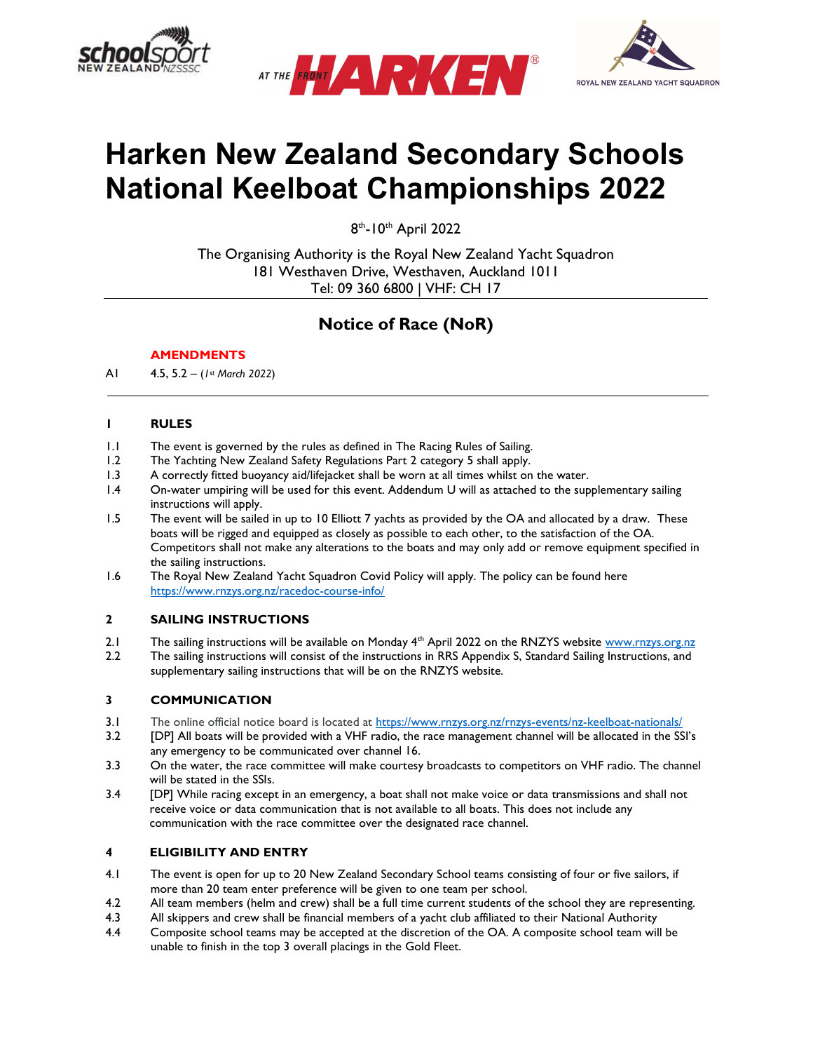





# Harken New Zealand Secondary Schools National Keelboat Championships 2022

8<sup>th</sup>-10<sup>th</sup> April 2022

The Organising Authority is the Royal New Zealand Yacht Squadron 181 Westhaven Drive, Westhaven, Auckland 1011 Tel: 09 360 6800 | VHF: CH 17

# Notice of Race (NoR)

# **AMENDMENTS**

A1 4.5, 5.2 – (1st March 2022)

# 1 RULES

- 1.1 The event is governed by the rules as defined in The Racing Rules of Sailing.
- 1.2 The Yachting New Zealand Safety Regulations Part 2 category 5 shall apply.<br>1.3 A correctly fitted buoyancy aid/lifejacket shall be worn at all times whilst on
- A correctly fitted buoyancy aid/lifejacket shall be worn at all times whilst on the water.
- 1.4 On-water umpiring will be used for this event. Addendum U will as attached to the supplementary sailing instructions will apply.
- 1.5 The event will be sailed in up to 10 Elliott 7 yachts as provided by the OA and allocated by a draw. These boats will be rigged and equipped as closely as possible to each other, to the satisfaction of the OA. Competitors shall not make any alterations to the boats and may only add or remove equipment specified in the sailing instructions.
- 1.6 The Royal New Zealand Yacht Squadron Covid Policy will apply. The policy can be found here https://www.rnzys.org.nz/racedoc-course-info/

# 2 SAILING INSTRUCTIONS

- 2.1 The sailing instructions will be available on Monday  $4^{\text{th}}$  April 2022 on the RNZYS website www.rnzys.org.nz 2.2 The sailing instructions, and
- The sailing instructions will consist of the instructions in RRS Appendix S, Standard Sailing Instructions, and supplementary sailing instructions that will be on the RNZYS website.

# 3 COMMUNICATION

- 3.1 The online official notice board is located at https://www.rnzys.org.nz/rnzys-events/nz-keelboat-nationals/
- 3.2 [DP] All boats will be provided with a VHF radio, the race management channel will be allocated in the SSI's any emergency to be communicated over channel 16.
- 3.3 On the water, the race committee will make courtesy broadcasts to competitors on VHF radio. The channel will be stated in the SSIs.
- 3.4 [DP] While racing except in an emergency, a boat shall not make voice or data transmissions and shall not receive voice or data communication that is not available to all boats. This does not include any communication with the race committee over the designated race channel.

# 4 ELIGIBILITY AND ENTRY

- 4.1 The event is open for up to 20 New Zealand Secondary School teams consisting of four or five sailors, if more than 20 team enter preference will be given to one team per school.
- 4.2 All team members (helm and crew) shall be a full time current students of the school they are representing.
- 4.3 All skippers and crew shall be financial members of a yacht club affiliated to their National Authority
- 4.4 Composite school teams may be accepted at the discretion of the OA. A composite school team will be unable to finish in the top 3 overall placings in the Gold Fleet.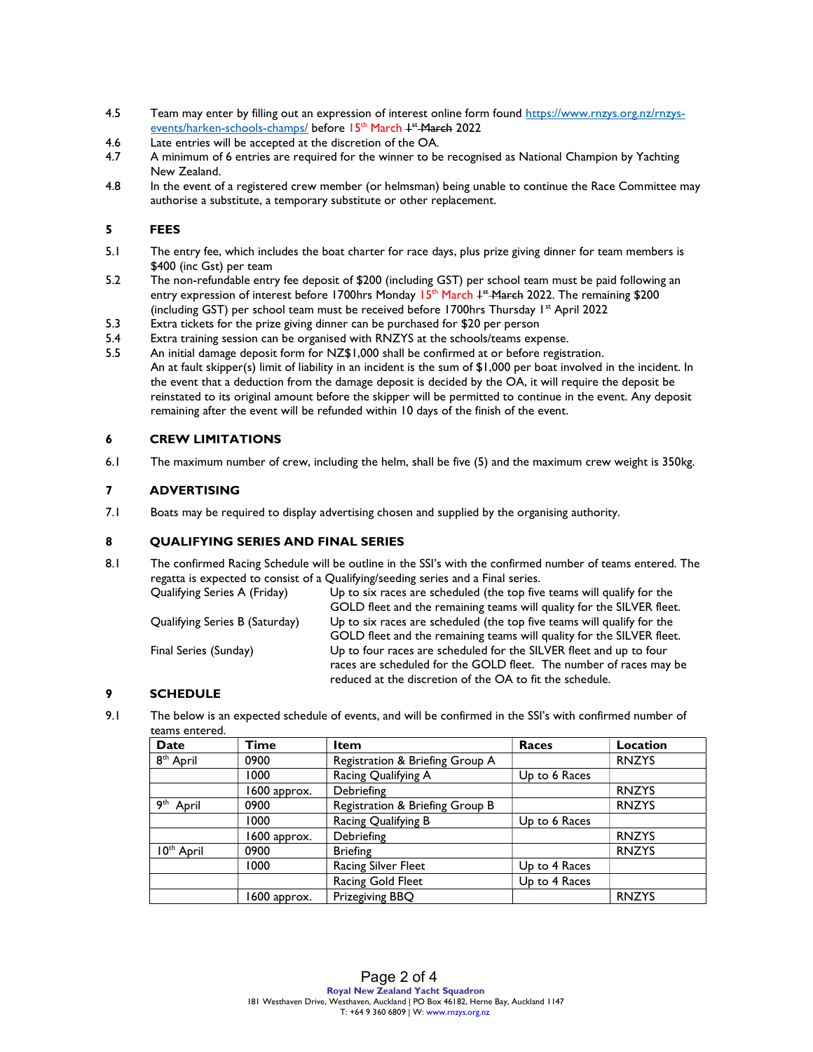- 4.5 Team may enter by filling out an expression of interest online form found https://www.rnzys.org.nz/rnzysevents/harken-schools-champs/ before 15<sup>th</sup> March <sup>+\*</sup> March 2022
- 4.6 Late entries will be accepted at the discretion of the OA.
- 4.7 A minimum of 6 entries are required for the winner to be recognised as National Champion by Yachting New Zealand.
- 4.8 In the event of a registered crew member (or helmsman) being unable to continue the Race Committee may authorise a substitute, a temporary substitute or other replacement.

# 5 FEES

- 5.1 The entry fee, which includes the boat charter for race days, plus prize giving dinner for team members is \$400 (inc Gst) per team
- 5.2 The non-refundable entry fee deposit of \$200 (including GST) per school team must be paid following an entry expression of interest before 1700hrs Monday 15<sup>th</sup> March 1st <del>March</del> 2022. The remaining \$200 (including GST) per school team must be received before 1700hrs Thursday 1<sup>st</sup> April 2022
- 5.3 Extra tickets for the prize giving dinner can be purchased for \$20 per person
- 5.4 Extra training session can be organised with RNZYS at the schools/teams expense.<br>5.5 An initial damage deposit form for NZ\$1,000 shall be confirmed at or before regist
- An initial damage deposit form for NZ\$1,000 shall be confirmed at or before registration. An at fault skipper(s) limit of liability in an incident is the sum of \$1,000 per boat involved in the incident. In the event that a deduction from the damage deposit is decided by the OA, it will require the deposit be reinstated to its original amount before the skipper will be permitted to continue in the event. Any deposit remaining after the event will be refunded within 10 days of the finish of the event.

# 6 CREW LIMITATIONS

6.1 The maximum number of crew, including the helm, shall be five (5) and the maximum crew weight is 350kg.

#### 7 ADVERTISING

7.1 Boats may be required to display advertising chosen and supplied by the organising authority.

# 8 QUALIFYING SERIES AND FINAL SERIES

8.1 The confirmed Racing Schedule will be outline in the SSI's with the confirmed number of teams entered. The regatta is expected to consist of a Qualifying/seeding series and a Final series.

Qualifying Series A (Friday) Up to six races are scheduled (the top five teams will qualify for the GOLD fleet and the remaining teams will quality for the SILVER fleet. Qualifying Series B (Saturday) Up to six races are scheduled (the top five teams will qualify for the GOLD fleet and the remaining teams will quality for the SILVER fleet. Final Series (Sunday) Up to four races are scheduled for the SILVER fleet and up to four races are scheduled for the GOLD fleet. The number of races may be reduced at the discretion of the OA to fit the schedule.

# 9 SCHEDULE

9.1 The below is an expected schedule of events, and will be confirmed in the SSI's with confirmed number of teams entered.

| Date                     | Time         | Item                            | <b>Races</b>  | Location     |
|--------------------------|--------------|---------------------------------|---------------|--------------|
| 8 <sup>th</sup> April    | 0900         | Registration & Briefing Group A |               | <b>RNZYS</b> |
|                          | 1000         | Racing Qualifying A             | Up to 6 Races |              |
|                          | 1600 approx. | Debriefing                      |               | <b>RNZYS</b> |
| 9 <sup>th</sup><br>April | 0900         | Registration & Briefing Group B |               | <b>RNZYS</b> |
|                          | 1000         | Racing Qualifying B             | Up to 6 Races |              |
|                          | 1600 approx. | Debriefing                      |               | <b>RNZYS</b> |
| 10 <sup>th</sup> April   | 0900         | <b>Briefing</b>                 |               | <b>RNZYS</b> |
|                          | 1000         | <b>Racing Silver Fleet</b>      | Up to 4 Races |              |
|                          |              | Racing Gold Fleet               | Up to 4 Races |              |
|                          | 1600 approx. | Prizegiving BBQ                 |               | <b>RNZYS</b> |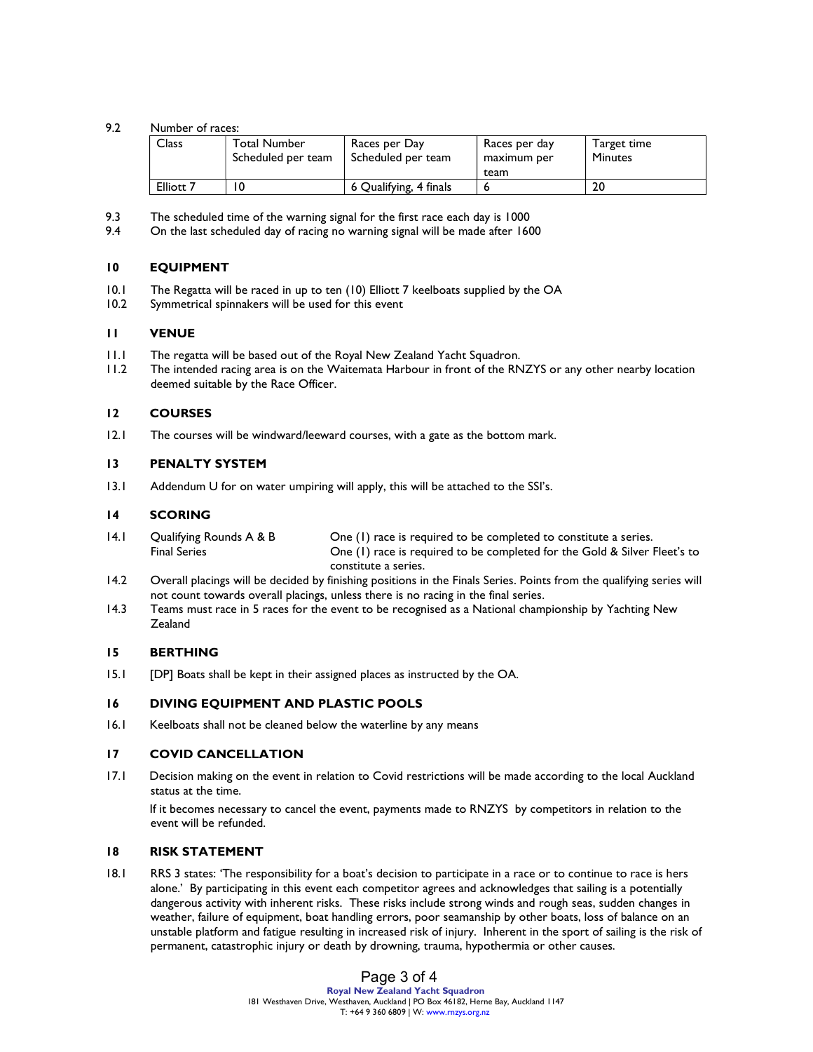#### 9.2 Number of races:

| Class                | <b>Total Number</b><br>Scheduled per team | Races per Day<br>Scheduled per team | Races per day<br>maximum per | Target time<br><b>Minutes</b> |
|----------------------|-------------------------------------------|-------------------------------------|------------------------------|-------------------------------|
|                      |                                           |                                     | team                         |                               |
| Elliott <sub>7</sub> |                                           | 6 Qualifying, 4 finals              |                              | 20                            |

- 9.3 The scheduled time of the warning signal for the first race each day is 1000
- 9.4 On the last scheduled day of racing no warning signal will be made after 1600

# 10 EQUIPMENT

- 10.1 The Regatta will be raced in up to ten (10) Elliott 7 keelboats supplied by the OA
- 10.2 Symmetrical spinnakers will be used for this event

#### 11 VENUE

- 11.1 The regatta will be based out of the Royal New Zealand Yacht Squadron.
- 11.2 The intended racing area is on the Waitemata Harbour in front of the RNZYS or any other nearby location deemed suitable by the Race Officer.

#### 12 COURSES

12.1 The courses will be windward/leeward courses, with a gate as the bottom mark.

#### 13 PENALTY SYSTEM

13.1 Addendum U for on water umpiring will apply, this will be attached to the SSI's.

#### 14 SCORING

- 14.1 Qualifying Rounds A & B One (1) race is required to be completed to constitute a series. Final Series One (1) race is required to be completed for the Gold & Silver Fleet's to constitute a series.
- 14.2 Overall placings will be decided by finishing positions in the Finals Series. Points from the qualifying series will not count towards overall placings, unless there is no racing in the final series.
- 14.3 Teams must race in 5 races for the event to be recognised as a National championship by Yachting New Zealand

#### 15 BERTHING

15.1 [DP] Boats shall be kept in their assigned places as instructed by the OA.

### 16 DIVING EQUIPMENT AND PLASTIC POOLS

16.1 Keelboats shall not be cleaned below the waterline by any means

#### 17 COVID CANCELLATION

17.1 Decision making on the event in relation to Covid restrictions will be made according to the local Auckland status at the time.

 If it becomes necessary to cancel the event, payments made to RNZYS by competitors in relation to the event will be refunded.

#### 18 RISK STATEMENT

18.1 RRS 3 states: 'The responsibility for a boat's decision to participate in a race or to continue to race is hers alone.' By participating in this event each competitor agrees and acknowledges that sailing is a potentially dangerous activity with inherent risks. These risks include strong winds and rough seas, sudden changes in weather, failure of equipment, boat handling errors, poor seamanship by other boats, loss of balance on an unstable platform and fatigue resulting in increased risk of injury. Inherent in the sport of sailing is the risk of permanent, catastrophic injury or death by drowning, trauma, hypothermia or other causes.